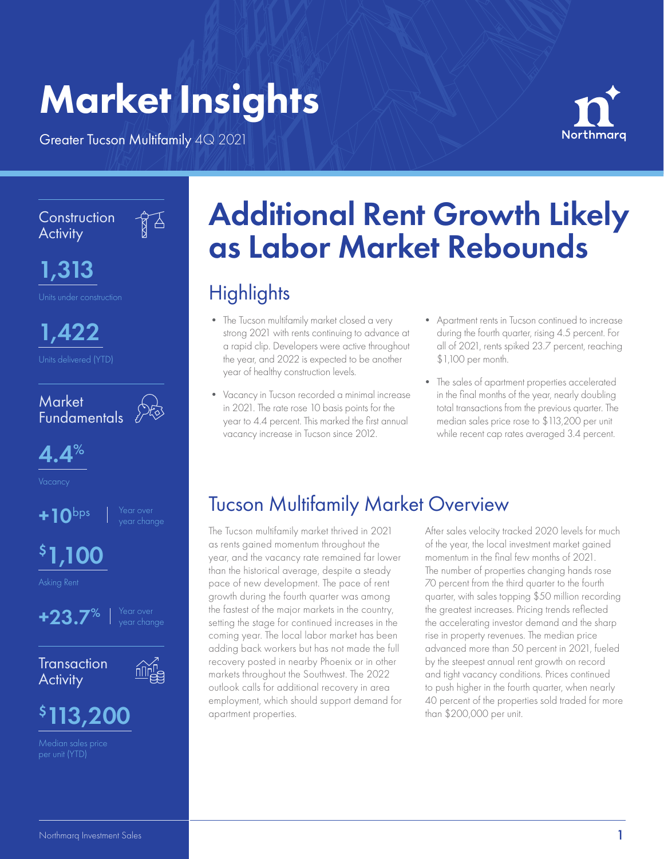# Market Insights

Greater Tucson Multifamily 4Q 2021



**Construction Activity** 

 $\sqrt{3}$ 

1,313

1,422



 $4.4%$ 

 $+10$ bps

# \$ 1,100



**Transaction Activity** 



## \$ 113,200

Median sales price

# Additional Rent Growth Likely as Labor Market Rebounds

## **Highlights**

- The Tucson multifamily market closed a very strong 2021 with rents continuing to advance at a rapid clip. Developers were active throughout the year, and 2022 is expected to be another year of healthy construction levels.
- Vacancy in Tucson recorded a minimal increase in 2021. The rate rose 10 basis points for the year to 4.4 percent. This marked the first annual vacancy increase in Tucson since 2012.
- Apartment rents in Tucson continued to increase during the fourth quarter, rising 4.5 percent. For all of 2021, rents spiked 23.7 percent, reaching \$1,100 per month.
- The sales of apartment properties accelerated in the final months of the year, nearly doubling total transactions from the previous quarter. The median sales price rose to \$113,200 per unit while recent cap rates averaged 3.4 percent.

## Tucson Multifamily Market Overview

The Tucson multifamily market thrived in 2021 as rents gained momentum throughout the year, and the vacancy rate remained far lower than the historical average, despite a steady pace of new development. The pace of rent growth during the fourth quarter was among the fastest of the major markets in the country, setting the stage for continued increases in the coming year. The local labor market has been adding back workers but has not made the full recovery posted in nearby Phoenix or in other markets throughout the Southwest. The 2022 outlook calls for additional recovery in area employment, which should support demand for apartment properties.

After sales velocity tracked 2020 levels for much of the year, the local investment market gained momentum in the final few months of 2021. The number of properties changing hands rose 70 percent from the third quarter to the fourth quarter, with sales topping \$50 million recording the greatest increases. Pricing trends reflected the accelerating investor demand and the sharp rise in property revenues. The median price advanced more than 50 percent in 2021, fueled by the steepest annual rent growth on record and tight vacancy conditions. Prices continued to push higher in the fourth quarter, when nearly 40 percent of the properties sold traded for more than \$200,000 per unit.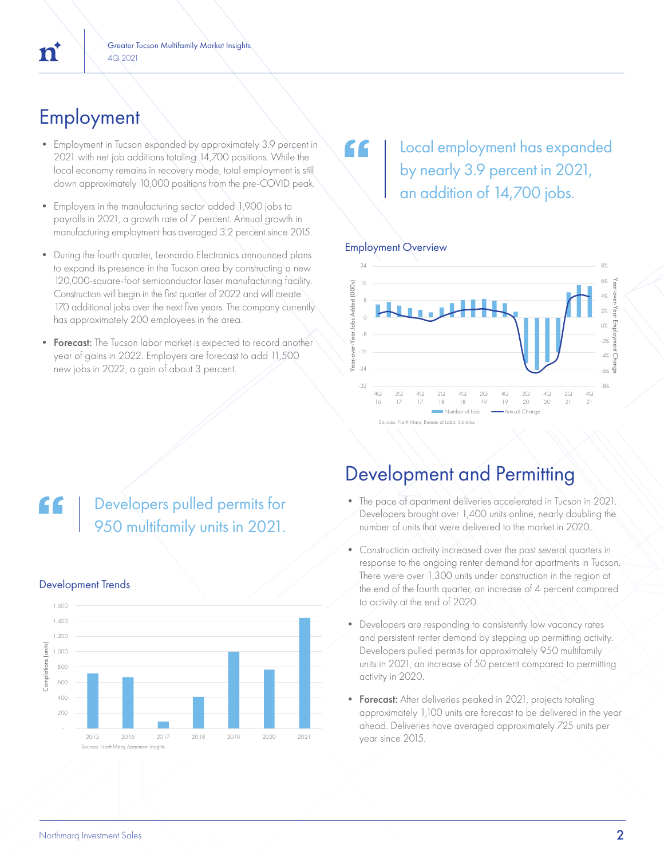## **Employment**

- Employment in Tucson expanded by approximately 3.9 percent in 2021 with net job additions totaling 14,700 positions. While the local economy remains in recovery mode, total employment is still down approximately 10,000 positions from the pre-COVID peak.
- Employers in the manufacturing sector added 1,900 jobs to payrolls in 2021, a growth rate of 7 percent. Annual growth in manufacturing employment has averaged 3.2 percent since 2015.
- During the fourth quarter, Leonardo Electronics announced plans to expand its presence in the Tucson area by constructing a new 120,000-square-foot semiconductor laser manufacturing facility. Construction will begin in the first quarter of 2022 and will create 170 additional jobs over the next five years. The company currently has approximately 200 employees in the area.
- Forecast: The Tucson labor market is expected to record another year of gains in 2022. Employers are forecast to add 11,500 new jobs in 2022, a gain of about 3 percent.

Developers pulled permits for

### Local employment has expanded C C by nearly 3.9 percent in 2021, an addition of 14,700 jobs.

### Employment Overview



# 950 multifamily units in 2021.

Development Trends

### 1,600 1,400 1,200 Completions (units) Completions (units 1,000 800 600 400 200 - 2015 2016 2017 2018 2019 2020 2021 Sources: NorthMarq, Apartment Insights

### Development and Permitting

- The pace of apartment deliveries accelerated in Tucson in 2021. Developers brought over 1,400 units online, nearly doubling the number of units that were delivered to the market in 2020.
- Construction activity increased over the past several quarters in response to the ongoing renter demand for apartments in Tucson. There were over 1,300 units under construction in the region at the end of the fourth quarter, an increase of 4 percent compared to activity at the end of 2020.
- Developers are responding to consistently low vacancy rates and persistent renter demand by stepping up permitting activity. Developers pulled permits for approximately 950 multifamily units in 2021, an increase of 50 percent compared to permitting activity in 2020.
- **Forecast:** After deliveries peaked in 2021, projects totaling approximately 1,100 units are forecast to be delivered in the year ahead. Deliveries have averaged approximately 725 units per year since 2015.

# 'n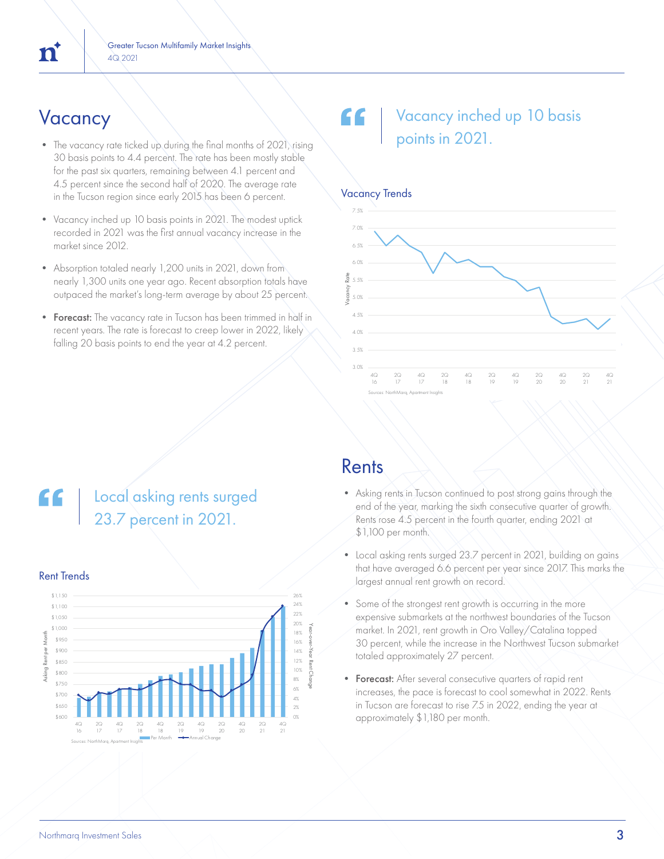- The vacancy rate ticked up during the final months of 2021, rising 30 basis points to 4.4 percent. The rate has been mostly stable for the past six quarters, remaining between 4.1 percent and 4.5 percent since the second half of 2020. The average rate in the Tucson region since early 2015 has been 6 percent.
- Vacancy inched up 10 basis points in 2021. The modest uptick recorded in 2021 was the first annual vacancy increase in the market since 2012.
- Absorption totaled nearly 1,200 units in 2021, down from nearly 1,300 units one year ago. Recent absorption totals have outpaced the market's long-term average by about 25 percent.
- Forecast: The vacancy rate in Tucson has been trimmed in half in recent years. The rate is forecast to creep lower in 2022, likely falling 20 basis points to end the year at 4.2 percent.

### Vacancy Vacancy Vacancy 10 basis points in 2021.



### Local asking rents surged 23.7 percent in 2021.



### Rents

- Asking rents in Tucson continued to post strong gains through the end of the year, marking the sixth consecutive quarter of growth. Rents rose 4.5 percent in the fourth quarter, ending 2021 at \$1,100 per month.
- Local asking rents surged 23.7 percent in 2021, building on gains that have averaged 6.6 percent per year since 2017. This marks the largest annual rent growth on record.
- Some of the strongest rent growth is occurring in the more expensive submarkets at the northwest boundaries of the Tucson market. In 2021, rent growth in Oro Valley/Catalina topped 30 percent, while the increase in the Northwest Tucson submarket totaled approximately 27 percent.
- **Forecast:** After several consecutive quarters of rapid rent increases, the pace is forecast to cool somewhat in 2022. Rents in Tucson are forecast to rise 7.5 in 2022, ending the year at approximately  $$1,180$  per month.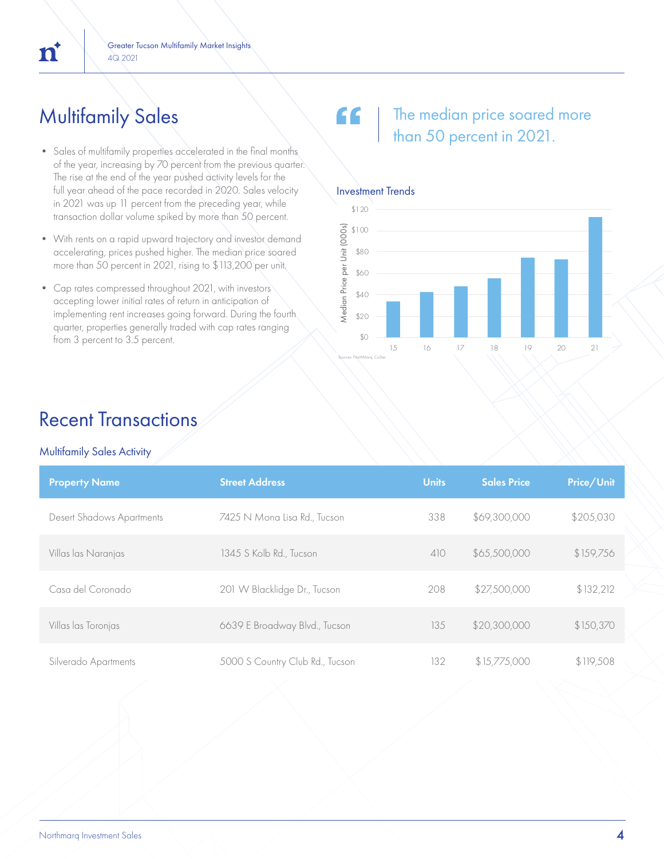## Multifamily Sales

 $\mathbf{n}^{\mathsf{t}}$ 

- Sales of multifamily properties accelerated in the final months. of the year, increasing by 70 percent from the previous quarter. The rise at the end of the year pushed activity levels for the full year ahead of the pace recorded in 2020. Sales velocity in 2021 was up 11 percent from the preceding year, while transaction dollar volume spiked by more than 50 percent.
- With rents on a rapid upward trajectory and investor demand accelerating, prices pushed higher. The median price soared more than 50 percent in 2021, rising to \$113,200 per unit.
- Cap rates compressed throughout 2021, with investors accepting lower initial rates of return in anticipation of implementing rent increases going forward. During the fourth quarter, properties generally traded with cap rates ranging  $\frac{1}{20}$  from 3 percent to 3.5 percent.

### " The median price soared more than 50 percent in 2021.



## Recent Transactions

### Multifamily Sales Activity

| <b>Property Name</b>             | <b>Street Address</b>           | <b>Units</b> | <b>Sales Price</b> | Price/Unit |
|----------------------------------|---------------------------------|--------------|--------------------|------------|
| <b>Desert Shadows Apartments</b> | 7425 N Mona Lisa Rd., Tucson    | 338          | \$69,300,000       | \$205,030  |
| Villas las Naranjas              | 1345 S Kolb Rd., Tucson         | 410          | \$65,500,000       | \$159,756  |
| Casa del Coronado                | 201 W Blacklidge Dr., Tucson    | 208          | \$27,500,000       | \$132,212  |
| Villas las Toronjas              | 6639 E Broadway Blvd., Tucson   | 135          | \$20,300,000       | \$150,370  |
| Silverado Apartments             | 5000 S Country Club Rd., Tucson | 132          | \$15,775,000       | \$119,508  |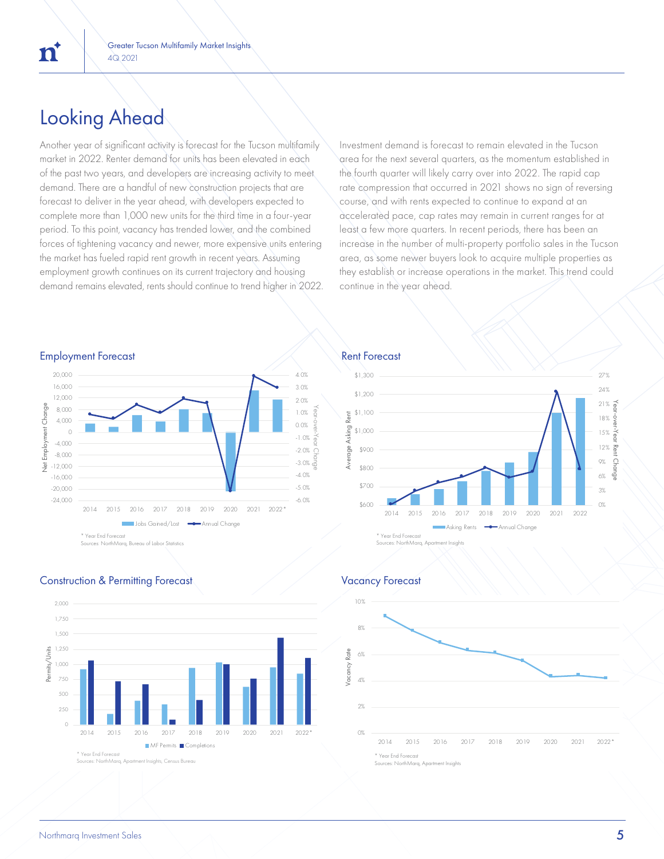## Looking Ahead

'n

Another year of significant activity is forecast for the Tucson multifamily market in 2022. Renter demand for units has been elevated in each of the past two years, and developers are increasing activity to meet demand. There are a handful of new construction projects that are forecast to deliver in the year ahead, with developers expected to complete more than 1,000 new units for the third time in a four-year period. To this point, vacancy has trended lower, and the combined forces of tightening vacancy and newer, more expensive units entering the market has fueled rapid rent growth in recent years. Assuming employment growth continues on its current trajectory and housing demand remains elevated, rents should continue to trend higher in 2022. Investment demand is forecast to remain elevated in the Tucson area for the next several quarters, as the momentum established in the fourth quarter will likely carry over into 2022. The rapid cap rate compression that occurred in 2021 shows no sign of reversing course, and with rents expected to continue to expand at an accelerated pace, cap rates may remain in current ranges for at least a few more quarters. In recent periods, there has been an increase in the number of multi-property portfolio sales in the Tucson area, as some newer buyers look to acquire multiple properties as they establish or increase operations in the market. This trend could continue in the year ahead.